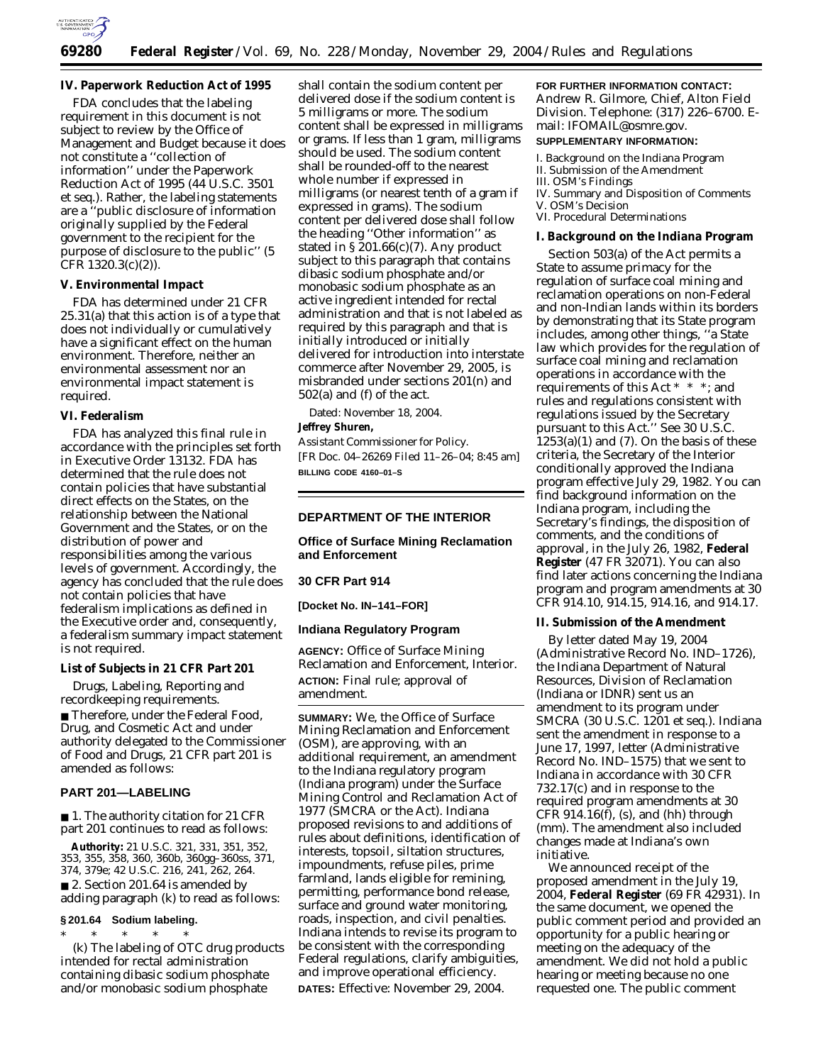

# **IV. Paperwork Reduction Act of 1995**

FDA concludes that the labeling requirement in this document is not subject to review by the Office of Management and Budget because it does not constitute a ''collection of information'' under the Paperwork Reduction Act of 1995 (44 U.S.C. 3501 *et seq.*). Rather, the labeling statements are a ''public disclosure of information originally supplied by the Federal government to the recipient for the purpose of disclosure to the public'' (5 CFR 1320.3(c)(2)).

# **V. Environmental Impact**

FDA has determined under 21 CFR 25.31(a) that this action is of a type that does not individually or cumulatively have a significant effect on the human environment. Therefore, neither an environmental assessment nor an environmental impact statement is required.

### **VI. Federalism**

FDA has analyzed this final rule in accordance with the principles set forth in Executive Order 13132. FDA has determined that the rule does not contain policies that have substantial direct effects on the States, on the relationship between the National Government and the States, or on the distribution of power and responsibilities among the various levels of government. Accordingly, the agency has concluded that the rule does not contain policies that have federalism implications as defined in the Executive order and, consequently, a federalism summary impact statement is not required.

### **List of Subjects in 21 CFR Part 201**

Drugs, Labeling, Reporting and recordkeeping requirements. ■ Therefore, under the Federal Food, Drug, and Cosmetic Act and under authority delegated to the Commissioner of Food and Drugs, 21 CFR part 201 is amended as follows:

#### **PART 201—LABELING**

■ 1. The authority citation for 21 CFR part 201 continues to read as follows:

**Authority:** 21 U.S.C. 321, 331, 351, 352, 353, 355, 358, 360, 360b, 360gg–360ss, 371, 374, 379e; 42 U.S.C. 216, 241, 262, 264. ■ 2. Section 201.64 is amended by adding paragraph (k) to read as follows:

#### **§ 201.64 Sodium labeling.** \* \* \* \* \*

(k) The labeling of OTC drug products intended for rectal administration containing dibasic sodium phosphate and/or monobasic sodium phosphate

shall contain the sodium content per delivered dose if the sodium content is 5 milligrams or more. The sodium content shall be expressed in milligrams or grams. If less than 1 gram, milligrams should be used. The sodium content shall be rounded-off to the nearest whole number if expressed in milligrams (or nearest tenth of a gram if expressed in grams). The sodium content per delivered dose shall follow the heading ''Other information'' as stated in  $\S 201.66(c)(7)$ . Any product subject to this paragraph that contains dibasic sodium phosphate and/or monobasic sodium phosphate as an active ingredient intended for rectal administration and that is not labeled as required by this paragraph and that is initially introduced or initially delivered for introduction into interstate commerce after November 29, 2005, is misbranded under sections 201(n) and 502(a) and (f) of the act.

Dated: November 18, 2004.

#### **Jeffrey Shuren,**

*Assistant Commissioner for Policy.* [FR Doc. 04–26269 Filed 11–26–04; 8:45 am] **BILLING CODE 4160–01–S**

### **DEPARTMENT OF THE INTERIOR**

# **Office of Surface Mining Reclamation and Enforcement**

### **30 CFR Part 914**

**[Docket No. IN–141–FOR]** 

### **Indiana Regulatory Program**

**AGENCY:** Office of Surface Mining Reclamation and Enforcement, Interior. **ACTION:** Final rule; approval of amendment.

**SUMMARY:** We, the Office of Surface Mining Reclamation and Enforcement (OSM), are approving, with an additional requirement, an amendment to the Indiana regulatory program (Indiana program) under the Surface Mining Control and Reclamation Act of 1977 (SMCRA or the Act). Indiana proposed revisions to and additions of rules about definitions, identification of interests, topsoil, siltation structures, impoundments, refuse piles, prime farmland, lands eligible for remining, permitting, performance bond release, surface and ground water monitoring, roads, inspection, and civil penalties. Indiana intends to revise its program to be consistent with the corresponding Federal regulations, clarify ambiguities, and improve operational efficiency. **DATES:** Effective: November 29, 2004.

#### **FOR FURTHER INFORMATION CONTACT:**

Andrew R. Gilmore, Chief, Alton Field Division. Telephone: (317) 226–6700. Email: *IFOMAIL@osmre.gov.*

## **SUPPLEMENTARY INFORMATION:**

I. Background on the Indiana Program

- II. Submission of the Amendment III. OSM's Findings
- 
- IV. Summary and Disposition of Comments V. OSM's Decision
- VI. Procedural Determinations

#### **I. Background on the Indiana Program**

Section 503(a) of the Act permits a State to assume primacy for the regulation of surface coal mining and reclamation operations on non-Federal and non-Indian lands within its borders by demonstrating that its State program includes, among other things, ''a State law which provides for the regulation of surface coal mining and reclamation operations in accordance with the requirements of this Act \* \* \*; and rules and regulations consistent with regulations issued by the Secretary pursuant to this Act.'' See 30 U.S.C.  $1253(a)(1)$  and  $(7)$ . On the basis of these criteria, the Secretary of the Interior conditionally approved the Indiana program effective July 29, 1982. You can find background information on the Indiana program, including the Secretary's findings, the disposition of comments, and the conditions of approval, in the July 26, 1982, **Federal Register** (47 FR 32071). You can also find later actions concerning the Indiana program and program amendments at 30 CFR 914.10, 914.15, 914.16, and 914.17.

#### **II. Submission of the Amendment**

By letter dated May 19, 2004 (Administrative Record No. IND–1726), the Indiana Department of Natural Resources, Division of Reclamation (Indiana or IDNR) sent us an amendment to its program under SMCRA (30 U.S.C. 1201 *et seq.*). Indiana sent the amendment in response to a June 17, 1997, letter (Administrative Record No. IND–1575) that we sent to Indiana in accordance with 30 CFR 732.17(c) and in response to the required program amendments at 30 CFR  $914.16(f)$ , (s), and (hh) through (mm). The amendment also included changes made at Indiana's own initiative.

We announced receipt of the proposed amendment in the July 19, 2004, **Federal Register** (69 FR 42931). In the same document, we opened the public comment period and provided an opportunity for a public hearing or meeting on the adequacy of the amendment. We did not hold a public hearing or meeting because no one requested one. The public comment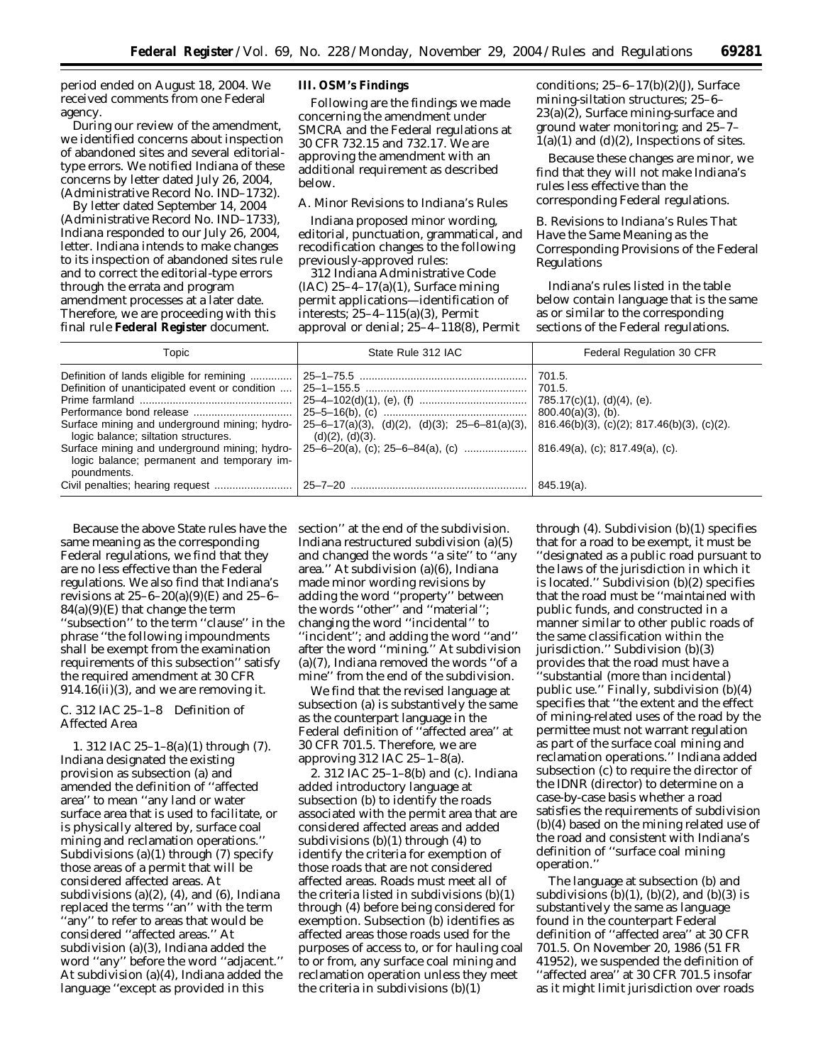period ended on August 18, 2004. We received comments from one Federal agency.

During our review of the amendment, we identified concerns about inspection of abandoned sites and several editorialtype errors. We notified Indiana of these concerns by letter dated July 26, 2004, (Administrative Record No. IND–1732).

By letter dated September 14, 2004 (Administrative Record No. IND–1733), Indiana responded to our July 26, 2004, letter. Indiana intends to make changes to its inspection of abandoned sites rule and to correct the editorial-type errors through the errata and program amendment processes at a later date. Therefore, we are proceeding with this final rule **Federal Register** document.

### **III. OSM's Findings**

Following are the findings we made concerning the amendment under SMCRA and the Federal regulations at 30 CFR 732.15 and 732.17. We are approving the amendment with an additional requirement as described below.

#### *A. Minor Revisions to Indiana's Rules*

Indiana proposed minor wording, editorial, punctuation, grammatical, and recodification changes to the following previously-approved rules:

312 Indiana Administrative Code  $(IAC)$  25-4-17(a)(1), Surface mining permit applications—identification of interests; 25–4–115(a)(3), Permit approval or denial; 25–4–118(8), Permit conditions;  $25-6-17(b)(2)(J)$ , Surface mining-siltation structures; 25–6– 23(a)(2), Surface mining-surface and ground water monitoring; and 25–7–  $1(a)(1)$  and  $(d)(2)$ , Inspections of sites.

Because these changes are minor, we find that they will not make Indiana's rules less effective than the corresponding Federal regulations.

*B. Revisions to Indiana's Rules That Have the Same Meaning as the Corresponding Provisions of the Federal Regulations* 

Indiana's rules listed in the table below contain language that is the same as or similar to the corresponding sections of the Federal regulations.

| Topic                                                                                                                                                                                                                                                                                              | State Rule 312 IAC                                                  | Federal Regulation 30 CFR                                                                                                                                       |  |  |  |
|----------------------------------------------------------------------------------------------------------------------------------------------------------------------------------------------------------------------------------------------------------------------------------------------------|---------------------------------------------------------------------|-----------------------------------------------------------------------------------------------------------------------------------------------------------------|--|--|--|
| Definition of lands eligible for remining<br>Definition of unanticipated event or condition<br>Surface mining and underground mining; hydro-<br>logic balance; siltation structures.<br>Surface mining and underground mining; hydro-<br>logic balance; permanent and temporary im-<br>poundments. | $25-6-17(a)(3)$ , (d)(2), (d)(3); 25-6-81(a)(3),<br>(d)(2), (d)(3). | 701.5.<br>701.5.<br>785.17(c)(1), (d)(4), (e).<br>$800.40(a)(3)$ , (b).<br>$816.46(b)(3)$ , (c)(2); $817.46(b)(3)$ , (c)(2).<br>816.49(a), (c); 817.49(a), (c). |  |  |  |
|                                                                                                                                                                                                                                                                                                    |                                                                     | 845.19(a).                                                                                                                                                      |  |  |  |

Because the above State rules have the same meaning as the corresponding Federal regulations, we find that they are no less effective than the Federal regulations. We also find that Indiana's revisions at  $25-6-20(a)(9)$ (E) and  $25-6 84(a)(9)$ (E) that change the term ''subsection'' to the term ''clause'' in the phrase ''the following impoundments shall be exempt from the examination requirements of this subsection'' satisfy the required amendment at 30 CFR 914.16(ii)(3), and we are removing it.

# *C. 312 IAC 25–1–8 Definition of Affected Area*

1. *312 IAC 25–1–8(a)(1) through (7).* Indiana designated the existing provision as subsection (a) and amended the definition of ''affected area'' to mean ''any land or water surface area that is used to facilitate, or is physically altered by, surface coal mining and reclamation operations.'' Subdivisions (a)(1) through (7) specify those areas of a permit that will be considered affected areas. At subdivisions  $(a)(2)$ ,  $(4)$ , and  $(6)$ , Indiana replaced the terms ''an'' with the term ''any'' to refer to areas that would be considered ''affected areas.'' At subdivision (a)(3), Indiana added the word ''any'' before the word ''adjacent.'' At subdivision (a)(4), Indiana added the language ''except as provided in this

section'' at the end of the subdivision. Indiana restructured subdivision (a)(5) and changed the words ''a site'' to ''any area.'' At subdivision (a)(6), Indiana made minor wording revisions by adding the word ''property'' between the words ''other'' and ''material''; changing the word ''incidental'' to ''incident''; and adding the word ''and'' after the word ''mining.'' At subdivision (a)(7), Indiana removed the words ''of a mine'' from the end of the subdivision.

We find that the revised language at subsection (a) is substantively the same as the counterpart language in the Federal definition of ''affected area'' at 30 CFR 701.5. Therefore, we are approving 312 IAC 25–1–8(a).

2. *312 IAC 25–1–8(b) and (c).* Indiana added introductory language at subsection (b) to identify the roads associated with the permit area that are considered affected areas and added subdivisions  $(b)(1)$  through  $(4)$  to identify the criteria for exemption of those roads that are not considered affected areas. Roads must meet all of the criteria listed in subdivisions (b)(1) through (4) before being considered for exemption. Subsection (b) identifies as affected areas those roads used for the purposes of access to, or for hauling coal to or from, any surface coal mining and reclamation operation unless they meet the criteria in subdivisions (b)(1)

through (4). Subdivision (b)(1) specifies that for a road to be exempt, it must be ''designated as a public road pursuant to the laws of the jurisdiction in which it is located.'' Subdivision (b)(2) specifies that the road must be ''maintained with public funds, and constructed in a manner similar to other public roads of the same classification within the jurisdiction.'' Subdivision (b)(3) provides that the road must have a ''substantial (more than incidental) public use.'' Finally, subdivision (b)(4) specifies that ''the extent and the effect of mining-related uses of the road by the permittee must not warrant regulation as part of the surface coal mining and reclamation operations.'' Indiana added subsection (c) to require the director of the IDNR (director) to determine on a case-by-case basis whether a road satisfies the requirements of subdivision (b)(4) based on the mining related use of the road and consistent with Indiana's definition of ''surface coal mining operation.''

The language at subsection (b) and subdivisions  $(b)(1)$ ,  $(b)(2)$ , and  $(b)(3)$  is substantively the same as language found in the counterpart Federal definition of ''affected area'' at 30 CFR 701.5. On November 20, 1986 (51 FR 41952), we suspended the definition of ''affected area'' at 30 CFR 701.5 insofar as it might limit jurisdiction over roads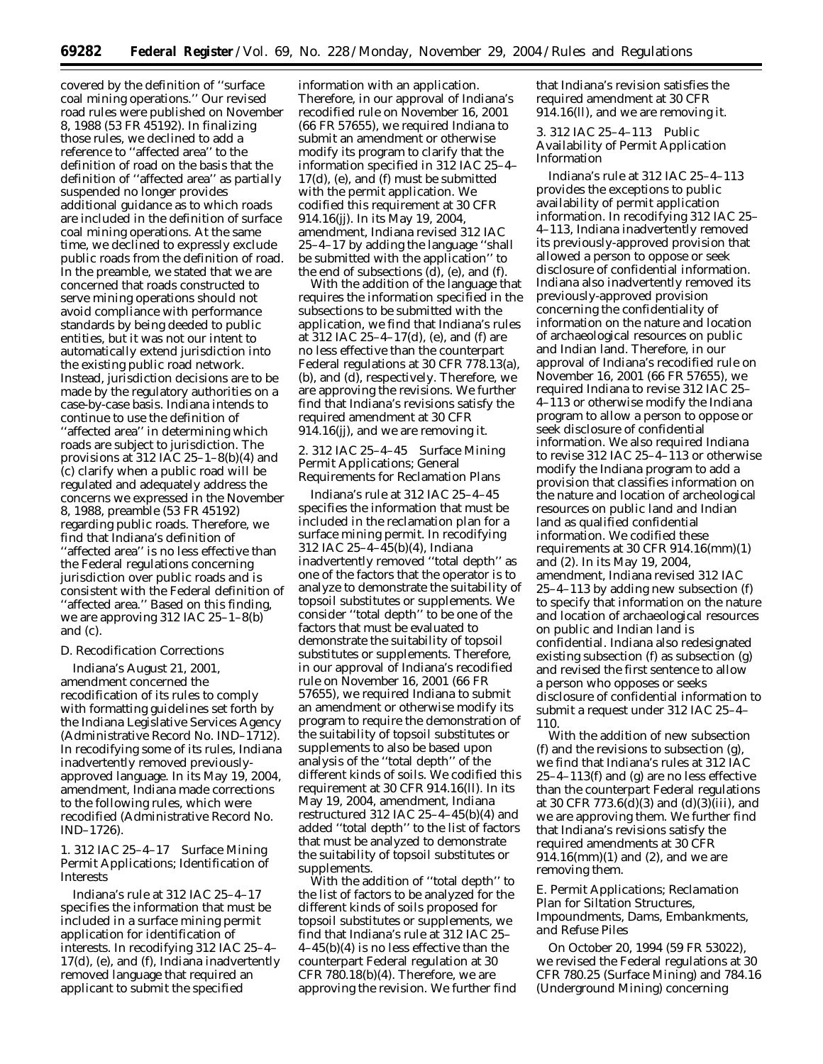covered by the definition of ''surface coal mining operations.'' Our revised road rules were published on November 8, 1988 (53 FR 45192). In finalizing those rules, we declined to add a reference to ''affected area'' to the definition of road on the basis that the definition of ''affected area'' as partially suspended no longer provides additional guidance as to which roads are included in the definition of surface coal mining operations. At the same time, we declined to expressly exclude public roads from the definition of road. In the preamble, we stated that we are concerned that roads constructed to serve mining operations should not avoid compliance with performance standards by being deeded to public entities, but it was not our intent to automatically extend jurisdiction into the existing public road network. Instead, jurisdiction decisions are to be made by the regulatory authorities on a case-by-case basis. Indiana intends to continue to use the definition of ''affected area'' in determining which roads are subject to jurisdiction. The provisions at 312 IAC 25–1–8(b)(4) and (c) clarify when a public road will be regulated and adequately address the concerns we expressed in the November 8, 1988, preamble (53 FR 45192) regarding public roads. Therefore, we find that Indiana's definition of ''affected area'' is no less effective than the Federal regulations concerning jurisdiction over public roads and is consistent with the Federal definition of ''affected area.'' Based on this finding, we are approving 312 IAC 25–1–8(b) and (c).

#### *D. Recodification Corrections*

Indiana's August 21, 2001, amendment concerned the recodification of its rules to comply with formatting guidelines set forth by the Indiana Legislative Services Agency (Administrative Record No. IND–1712). In recodifying some of its rules, Indiana inadvertently removed previouslyapproved language. In its May 19, 2004, amendment, Indiana made corrections to the following rules, which were recodified (Administrative Record No. IND–1726).

1. 312 IAC 25–4–17 Surface Mining Permit Applications; Identification of **Interests** 

Indiana's rule at 312 IAC 25–4–17 specifies the information that must be included in a surface mining permit application for identification of interests. In recodifying 312 IAC 25–4– 17(d), (e), and (f), Indiana inadvertently removed language that required an applicant to submit the specified

information with an application. Therefore, in our approval of Indiana's recodified rule on November 16, 2001 (66 FR 57655), we required Indiana to submit an amendment or otherwise modify its program to clarify that the information specified in 312 IAC 25–4– 17(d), (e), and (f) must be submitted with the permit application. We codified this requirement at 30 CFR 914.16(jj). In its May 19, 2004, amendment, Indiana revised 312 IAC 25–4–17 by adding the language ''shall be submitted with the application'' to the end of subsections (d), (e), and (f).

With the addition of the language that requires the information specified in the subsections to be submitted with the application, we find that Indiana's rules at 312 IAC 25–4–17(d), (e), and (f) are no less effective than the counterpart Federal regulations at 30 CFR 778.13(a), (b), and (d), respectively. Therefore, we are approving the revisions. We further find that Indiana's revisions satisfy the required amendment at 30 CFR 914.16(jj), and we are removing it.

2. 312 IAC 25–4–45 Surface Mining Permit Applications; General Requirements for Reclamation Plans

Indiana's rule at 312 IAC 25–4–45 specifies the information that must be included in the reclamation plan for a surface mining permit. In recodifying 312 IAC 25–4–45(b)(4), Indiana inadvertently removed ''total depth'' as one of the factors that the operator is to analyze to demonstrate the suitability of topsoil substitutes or supplements. We consider ''total depth'' to be one of the factors that must be evaluated to demonstrate the suitability of topsoil substitutes or supplements. Therefore, in our approval of Indiana's recodified rule on November 16, 2001 (66 FR 57655), we required Indiana to submit an amendment or otherwise modify its program to require the demonstration of the suitability of topsoil substitutes or supplements to also be based upon analysis of the ''total depth'' of the different kinds of soils. We codified this requirement at 30 CFR 914.16(ll). In its May 19, 2004, amendment, Indiana restructured 312 IAC  $25-4-45(b)(4)$  and added ''total depth'' to the list of factors that must be analyzed to demonstrate the suitability of topsoil substitutes or supplements.

With the addition of ''total depth'' to the list of factors to be analyzed for the different kinds of soils proposed for topsoil substitutes or supplements, we find that Indiana's rule at 312 IAC 25– 4–45(b)(4) is no less effective than the counterpart Federal regulation at 30 CFR 780.18(b)(4). Therefore, we are approving the revision. We further find

that Indiana's revision satisfies the required amendment at 30 CFR 914.16(ll), and we are removing it.

3. 312 IAC 25–4–113 Public Availability of Permit Application Information

Indiana's rule at 312 IAC 25–4–113 provides the exceptions to public availability of permit application information. In recodifying 312 IAC 25– 4–113, Indiana inadvertently removed its previously-approved provision that allowed a person to oppose or seek disclosure of confidential information. Indiana also inadvertently removed its previously-approved provision concerning the confidentiality of information on the nature and location of archaeological resources on public and Indian land. Therefore, in our approval of Indiana's recodified rule on November 16, 2001 (66 FR 57655), we required Indiana to revise 312 IAC 25– 4–113 or otherwise modify the Indiana program to allow a person to oppose or seek disclosure of confidential information. We also required Indiana to revise 312 IAC 25–4–113 or otherwise modify the Indiana program to add a provision that classifies information on the nature and location of archeological resources on public land and Indian land as qualified confidential information. We codified these requirements at 30 CFR 914.16(mm)(1) and (2). In its May 19, 2004, amendment, Indiana revised 312 IAC 25–4–113 by adding new subsection (f) to specify that information on the nature and location of archaeological resources on public and Indian land is confidential. Indiana also redesignated existing subsection (f) as subsection (g) and revised the first sentence to allow a person who opposes or seeks disclosure of confidential information to submit a request under 312 IAC 25–4– 110.

With the addition of new subsection (f) and the revisions to subsection (g), we find that Indiana's rules at 312 IAC 25–4–113(f) and (g) are no less effective than the counterpart Federal regulations at 30 CFR 773.6(d)(3) and (d)(3)(iii), and we are approving them. We further find that Indiana's revisions satisfy the required amendments at 30 CFR 914.16(mm)(1) and (2), and we are removing them.

# *E. Permit Applications; Reclamation Plan for Siltation Structures, Impoundments, Dams, Embankments, and Refuse Piles*

On October 20, 1994 (59 FR 53022), we revised the Federal regulations at 30 CFR 780.25 (Surface Mining) and 784.16 (Underground Mining) concerning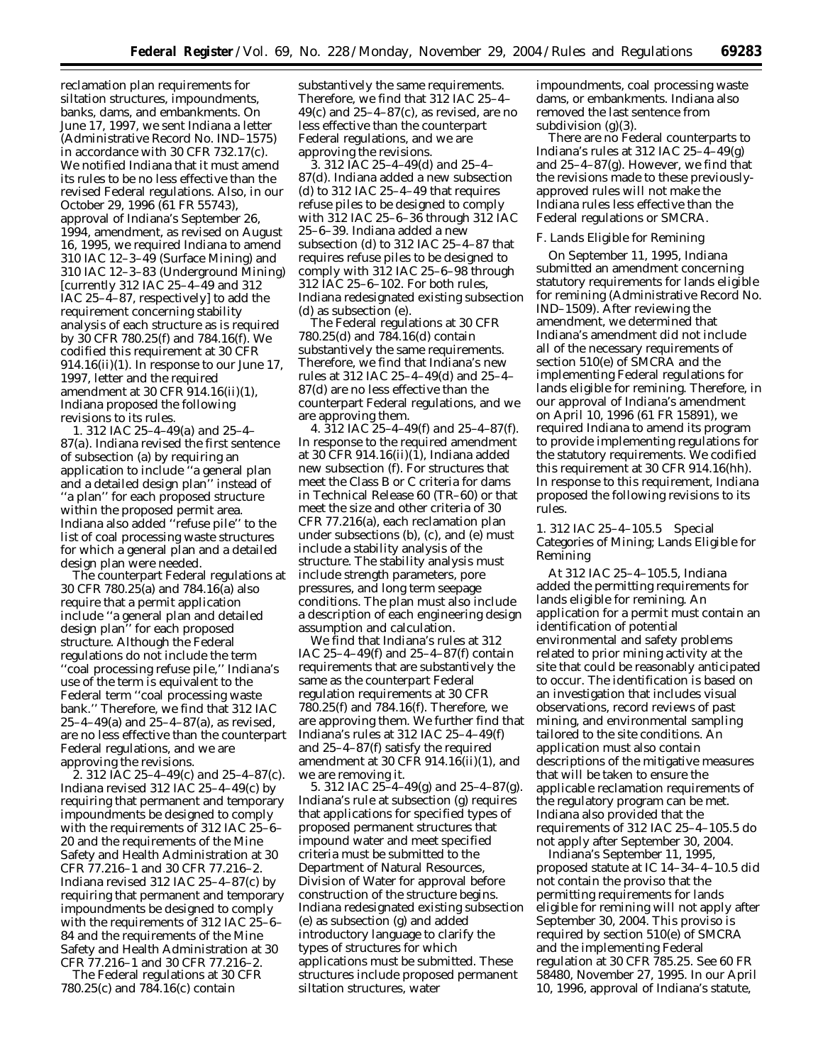reclamation plan requirements for siltation structures, impoundments, banks, dams, and embankments. On June 17, 1997, we sent Indiana a letter (Administrative Record No. IND–1575) in accordance with 30 CFR 732.17(c). We notified Indiana that it must amend its rules to be no less effective than the revised Federal regulations. Also, in our October 29, 1996 (61 FR 55743), approval of Indiana's September 26, 1994, amendment, as revised on August 16, 1995, we required Indiana to amend 310 IAC 12–3–49 (Surface Mining) and 310 IAC 12–3–83 (Underground Mining) [currently 312 IAC 25–4–49 and 312 IAC 25–4–87, respectively] to add the requirement concerning stability analysis of each structure as is required by 30 CFR 780.25(f) and 784.16(f). We codified this requirement at 30 CFR 914.16(ii)(1). In response to our June 17, 1997, letter and the required amendment at 30 CFR 914.16(ii)(1), Indiana proposed the following revisions to its rules.

1. *312 IAC 25–4–49(a) and 25–4– 87(a).* Indiana revised the first sentence of subsection (a) by requiring an application to include ''a general plan and a detailed design plan'' instead of ''a plan'' for each proposed structure within the proposed permit area. Indiana also added ''refuse pile'' to the list of coal processing waste structures for which a general plan and a detailed design plan were needed.

The counterpart Federal regulations at 30 CFR 780.25(a) and 784.16(a) also require that a permit application include ''a general plan and detailed design plan'' for each proposed structure. Although the Federal regulations do not include the term ''coal processing refuse pile,'' Indiana's use of the term is equivalent to the Federal term ''coal processing waste bank.'' Therefore, we find that 312 IAC 25–4–49(a) and 25–4–87(a), as revised, are no less effective than the counterpart Federal regulations, and we are approving the revisions.

2. *312 IAC 25–4–49(c) and 25–4–87(c).* Indiana revised 312 IAC 25–4–49(c) by requiring that permanent and temporary impoundments be designed to comply with the requirements of 312 IAC 25–6– 20 and the requirements of the Mine Safety and Health Administration at 30 CFR 77.216–1 and 30 CFR 77.216–2. Indiana revised 312 IAC 25–4–87(c) by requiring that permanent and temporary impoundments be designed to comply with the requirements of 312 IAC 25–6– 84 and the requirements of the Mine Safety and Health Administration at 30 CFR 77.216–1 and 30 CFR 77.216–2.

The Federal regulations at 30 CFR 780.25(c) and 784.16(c) contain

substantively the same requirements. Therefore, we find that 312 IAC 25–4–  $49(c)$  and  $25-4-87(c)$ , as revised, are no less effective than the counterpart Federal regulations, and we are approving the revisions.

3. *312 IAC 25–4–49(d) and 25–4– 87(d).* Indiana added a new subsection (d) to 312 IAC 25–4–49 that requires refuse piles to be designed to comply with 312 IAC 25–6–36 through 312 IAC 25–6–39. Indiana added a new subsection (d) to 312 IAC 25–4–87 that requires refuse piles to be designed to comply with 312 IAC 25–6–98 through 312 IAC 25–6–102. For both rules, Indiana redesignated existing subsection (d) as subsection (e).

The Federal regulations at 30 CFR 780.25(d) and 784.16(d) contain substantively the same requirements. Therefore, we find that Indiana's new rules at 312 IAC 25–4–49(d) and 25–4– 87(d) are no less effective than the counterpart Federal regulations, and we are approving them.

4. *312 IAC 25–4–49(f) and 25–4–87(f).* In response to the required amendment at 30 CFR 914.16(ii)(1), Indiana added new subsection (f). For structures that meet the Class B or C criteria for dams in Technical Release 60 (TR–60) or that meet the size and other criteria of 30 CFR 77.216(a), each reclamation plan under subsections (b), (c), and (e) must include a stability analysis of the structure. The stability analysis must include strength parameters, pore pressures, and long term seepage conditions. The plan must also include a description of each engineering design assumption and calculation.

We find that Indiana's rules at 312 IAC 25–4–49(f) and 25–4–87(f) contain requirements that are substantively the same as the counterpart Federal regulation requirements at 30 CFR 780.25(f) and 784.16(f). Therefore, we are approving them. We further find that Indiana's rules at 312 IAC 25–4–49(f) and 25–4–87(f) satisfy the required amendment at 30 CFR 914.16(ii)(1), and we are removing it.

5. *312 IAC 25–4–49(g) and 25–4–87(g).* Indiana's rule at subsection (g) requires that applications for specified types of proposed permanent structures that impound water and meet specified criteria must be submitted to the Department of Natural Resources, Division of Water for approval before construction of the structure begins. Indiana redesignated existing subsection (e) as subsection (g) and added introductory language to clarify the types of structures for which applications must be submitted. These structures include proposed permanent siltation structures, water

impoundments, coal processing waste dams, or embankments. Indiana also removed the last sentence from subdivision  $(g)(3)$ .

There are no Federal counterparts to Indiana's rules at 312 IAC  $25-4-49(g)$ and 25–4–87(g). However, we find that the revisions made to these previouslyapproved rules will not make the Indiana rules less effective than the Federal regulations or SMCRA.

# *F. Lands Eligible for Remining*

On September 11, 1995, Indiana submitted an amendment concerning statutory requirements for lands eligible for remining (Administrative Record No. IND–1509). After reviewing the amendment, we determined that Indiana's amendment did not include all of the necessary requirements of section 510(e) of SMCRA and the implementing Federal regulations for lands eligible for remining. Therefore, in our approval of Indiana's amendment on April 10, 1996 (61 FR 15891), we required Indiana to amend its program to provide implementing regulations for the statutory requirements. We codified this requirement at 30 CFR 914.16(hh). In response to this requirement, Indiana proposed the following revisions to its rules.

1. 312 IAC 25–4–105.5 Special Categories of Mining; Lands Eligible for Remining

At 312 IAC 25–4–105.5, Indiana added the permitting requirements for lands eligible for remining. An application for a permit must contain an identification of potential environmental and safety problems related to prior mining activity at the site that could be reasonably anticipated to occur. The identification is based on an investigation that includes visual observations, record reviews of past mining, and environmental sampling tailored to the site conditions. An application must also contain descriptions of the mitigative measures that will be taken to ensure the applicable reclamation requirements of the regulatory program can be met. Indiana also provided that the requirements of 312 IAC 25–4–105.5 do not apply after September 30, 2004.

Indiana's September 11, 1995, proposed statute at IC 14–34–4–10.5 did not contain the proviso that the permitting requirements for lands eligible for remining will not apply after September 30, 2004. This proviso is required by section 510(e) of SMCRA and the implementing Federal regulation at 30 CFR 785.25. See 60 FR 58480, November 27, 1995. In our April 10, 1996, approval of Indiana's statute,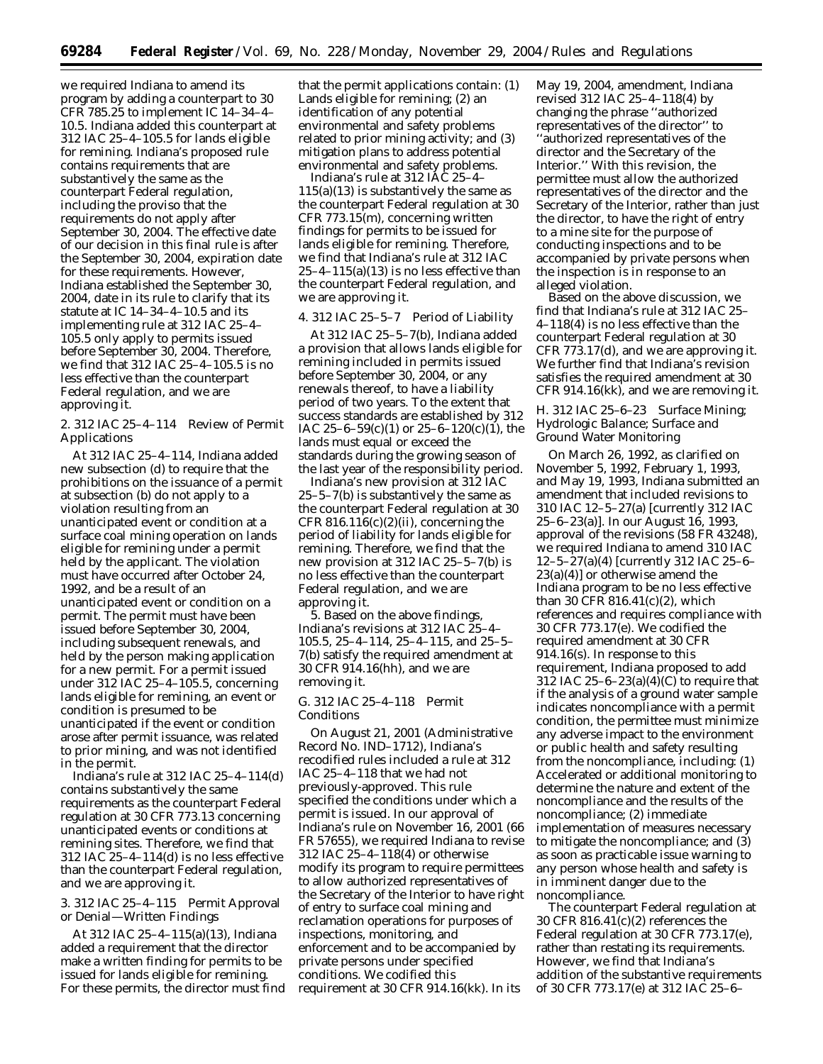we required Indiana to amend its program by adding a counterpart to 30 CFR 785.25 to implement IC 14–34–4– 10.5. Indiana added this counterpart at 312 IAC 25–4–105.5 for lands eligible for remining. Indiana's proposed rule contains requirements that are substantively the same as the counterpart Federal regulation, including the proviso that the requirements do not apply after September 30, 2004. The effective date of our decision in this final rule is after the September 30, 2004, expiration date for these requirements. However, Indiana established the September 30, 2004, date in its rule to clarify that its statute at IC 14–34–4–10.5 and its implementing rule at 312 IAC 25–4– 105.5 only apply to permits issued before September 30, 2004. Therefore, we find that 312 IAC 25–4–105.5 is no less effective than the counterpart Federal regulation, and we are approving it.

# 2. 312 IAC 25–4–114 Review of Permit Applications

At 312 IAC 25–4–114, Indiana added new subsection (d) to require that the prohibitions on the issuance of a permit at subsection (b) do not apply to a violation resulting from an unanticipated event or condition at a surface coal mining operation on lands eligible for remining under a permit held by the applicant. The violation must have occurred after October 24, 1992, and be a result of an unanticipated event or condition on a permit. The permit must have been issued before September 30, 2004, including subsequent renewals, and held by the person making application for a new permit. For a permit issued under 312 IAC 25–4–105.5, concerning lands eligible for remining, an event or condition is presumed to be unanticipated if the event or condition arose after permit issuance, was related to prior mining, and was not identified in the permit.

Indiana's rule at 312 IAC 25–4–114(d) contains substantively the same requirements as the counterpart Federal regulation at 30 CFR 773.13 concerning unanticipated events or conditions at remining sites. Therefore, we find that 312 IAC 25–4–114(d) is no less effective than the counterpart Federal regulation, and we are approving it.

# 3. 312 IAC 25–4–115 Permit Approval or Denial—Written Findings

At 312 IAC 25–4–115(a)(13), Indiana added a requirement that the director make a written finding for permits to be issued for lands eligible for remining. For these permits, the director must find

that the permit applications contain: (1) Lands eligible for remining; (2) an identification of any potential environmental and safety problems related to prior mining activity; and (3) mitigation plans to address potential environmental and safety problems.

Indiana's rule at 312 IAC 25–4–  $115(a)(13)$  is substantively the same as the counterpart Federal regulation at 30 CFR 773.15(m), concerning written findings for permits to be issued for lands eligible for remining. Therefore, we find that Indiana's rule at 312 IAC  $25-4-115(a)(13)$  is no less effective than the counterpart Federal regulation, and we are approving it.

# 4. 312 IAC 25–5–7 Period of Liability

At 312 IAC 25–5–7(b), Indiana added a provision that allows lands eligible for remining included in permits issued before September 30, 2004, or any renewals thereof, to have a liability period of two years. To the extent that success standards are established by 312 IAC 25-6-59(c)(1) or 25-6-120(c)(1), the lands must equal or exceed the standards during the growing season of the last year of the responsibility period.

Indiana's new provision at 312 IAC 25–5–7(b) is substantively the same as the counterpart Federal regulation at 30 CFR  $816.116(c)(2)(ii)$ , concerning the period of liability for lands eligible for remining. Therefore, we find that the new provision at 312 IAC 25–5–7(b) is no less effective than the counterpart Federal regulation, and we are approving it.

5. Based on the above findings, Indiana's revisions at 312 IAC 25–4– 105.5, 25–4–114, 25–4–115, and 25–5– 7(b) satisfy the required amendment at 30 CFR 914.16(hh), and we are removing it.

## *G. 312 IAC 25–4–118 Permit Conditions*

On August 21, 2001 (Administrative Record No. IND–1712), Indiana's recodified rules included a rule at 312 IAC 25–4–118 that we had not previously-approved. This rule specified the conditions under which a permit is issued. In our approval of Indiana's rule on November 16, 2001 (66 FR 57655), we required Indiana to revise 312 IAC 25–4–118(4) or otherwise modify its program to require permittees to allow authorized representatives of the Secretary of the Interior to have right of entry to surface coal mining and reclamation operations for purposes of inspections, monitoring, and enforcement and to be accompanied by private persons under specified conditions. We codified this requirement at 30 CFR 914.16(kk). In its

May 19, 2004, amendment, Indiana revised 312 IAC 25–4–118(4) by changing the phrase ''authorized representatives of the director'' to ''authorized representatives of the director and the Secretary of the Interior.'' With this revision, the permittee must allow the authorized representatives of the director and the Secretary of the Interior, rather than just the director, to have the right of entry to a mine site for the purpose of conducting inspections and to be accompanied by private persons when the inspection is in response to an alleged violation.

Based on the above discussion, we find that Indiana's rule at 312 IAC 25– 4–118(4) is no less effective than the counterpart Federal regulation at 30 CFR 773.17(d), and we are approving it. We further find that Indiana's revision satisfies the required amendment at 30 CFR 914.16(kk), and we are removing it.

# *H. 312 IAC 25–6–23 Surface Mining; Hydrologic Balance; Surface and Ground Water Monitoring*

On March 26, 1992, as clarified on November 5, 1992, February 1, 1993, and May 19, 1993, Indiana submitted an amendment that included revisions to 310 IAC 12–5–27(a) [currently 312 IAC 25–6–23(a)]. In our August 16, 1993, approval of the revisions (58 FR 43248), we required Indiana to amend 310 IAC 12–5–27(a)(4) [currently 312 IAC 25–6–  $23(a)(4)$ ] or otherwise amend the Indiana program to be no less effective than 30 CFR 816.41(c)(2), which references and requires compliance with 30 CFR 773.17(e). We codified the required amendment at 30 CFR 914.16(s). In response to this requirement, Indiana proposed to add 312 IAC 25–6–23(a)(4)(C) to require that if the analysis of a ground water sample indicates noncompliance with a permit condition, the permittee must minimize any adverse impact to the environment or public health and safety resulting from the noncompliance, including: (1) Accelerated or additional monitoring to determine the nature and extent of the noncompliance and the results of the noncompliance; (2) immediate implementation of measures necessary to mitigate the noncompliance; and (3) as soon as practicable issue warning to any person whose health and safety is in imminent danger due to the noncompliance.

The counterpart Federal regulation at 30 CFR 816.41(c)(2) references the Federal regulation at 30 CFR 773.17(e), rather than restating its requirements. However, we find that Indiana's addition of the substantive requirements of 30 CFR 773.17(e) at 312 IAC 25–6–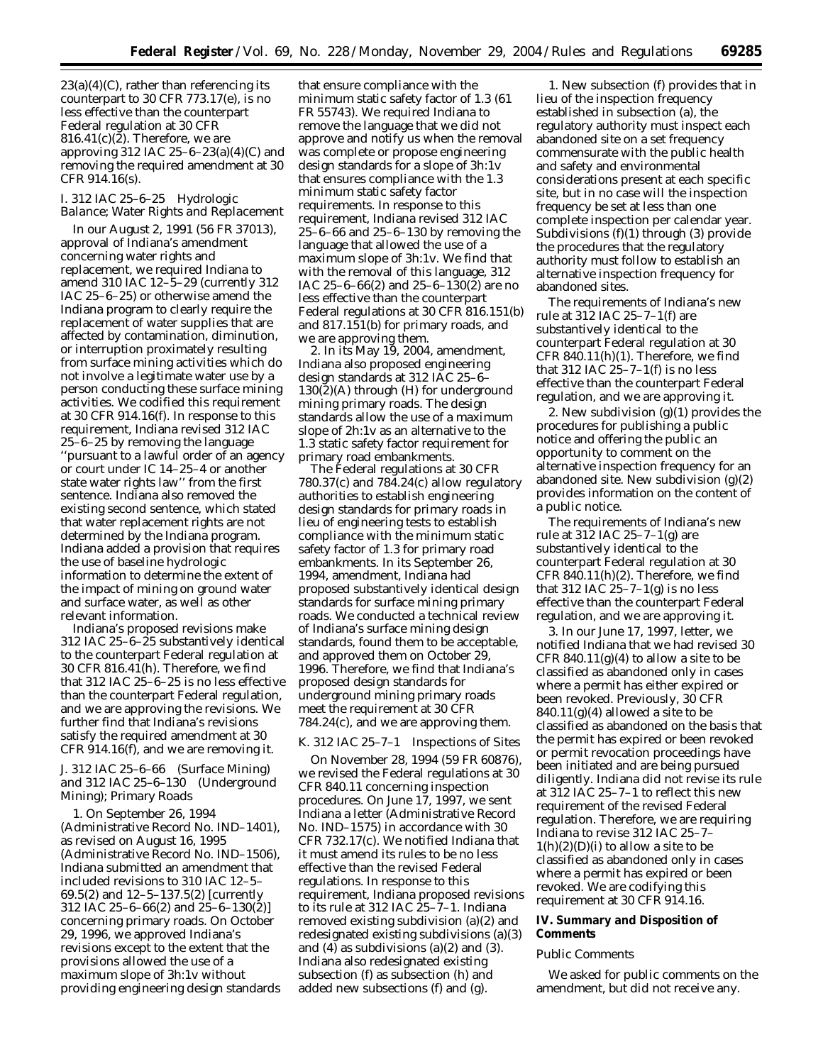$23(a)(4)(C)$ , rather than referencing its counterpart to 30 CFR 773.17(e), is no less effective than the counterpart Federal regulation at 30 CFR 816.41 $(c)(\tilde{z})$ . Therefore, we are approving 312 IAC 25–6–23(a)(4)(C) and removing the required amendment at 30 CFR 914.16(s).

# *I. 312 IAC 25–6–25 Hydrologic Balance; Water Rights and Replacement*

In our August 2, 1991 (56 FR 37013), approval of Indiana's amendment concerning water rights and replacement, we required Indiana to amend 310 IAC 12–5–29 (currently 312 IAC 25–6–25) or otherwise amend the Indiana program to clearly require the replacement of water supplies that are affected by contamination, diminution, or interruption proximately resulting from surface mining activities which do not involve a legitimate water use by a person conducting these surface mining activities. We codified this requirement at 30 CFR 914.16(f). In response to this requirement, Indiana revised 312 IAC 25–6–25 by removing the language ''pursuant to a lawful order of an agency or court under IC 14–25–4 or another state water rights law'' from the first sentence. Indiana also removed the existing second sentence, which stated that water replacement rights are not determined by the Indiana program. Indiana added a provision that requires the use of baseline hydrologic information to determine the extent of the impact of mining on ground water and surface water, as well as other relevant information.

Indiana's proposed revisions make 312 IAC 25–6–25 substantively identical to the counterpart Federal regulation at 30 CFR 816.41(h). Therefore, we find that 312 IAC 25–6–25 is no less effective than the counterpart Federal regulation, and we are approving the revisions. We further find that Indiana's revisions satisfy the required amendment at 30 CFR 914.16(f), and we are removing it.

## *J. 312 IAC 25–6–66 (Surface Mining) and 312 IAC 25–6–130 (Underground Mining); Primary Roads*

1. On September 26, 1994 (Administrative Record No. IND–1401), as revised on August 16, 1995 (Administrative Record No. IND–1506), Indiana submitted an amendment that included revisions to 310 IAC 12–5– 69.5(2) and 12–5–137.5(2) [currently 312 IAC 25–6–66(2) and 25–6–130(2)] concerning primary roads. On October 29, 1996, we approved Indiana's revisions except to the extent that the provisions allowed the use of a maximum slope of 3h:1v without providing engineering design standards

that ensure compliance with the minimum static safety factor of 1.3 (61 FR 55743). We required Indiana to remove the language that we did not approve and notify us when the removal was complete or propose engineering design standards for a slope of 3h:1v that ensures compliance with the 1.3 minimum static safety factor requirements. In response to this requirement, Indiana revised 312 IAC 25–6–66 and 25–6–130 by removing the language that allowed the use of a maximum slope of 3h:1v. We find that with the removal of this language, 312 IAC 25–6–66(2) and 25–6–130(2) are no less effective than the counterpart Federal regulations at 30 CFR 816.151(b) and 817.151(b) for primary roads, and we are approving them.

2. In its May 19, 2004, amendment, Indiana also proposed engineering design standards at 312 IAC 25–6– 130(2)(A) through (H) for underground mining primary roads. The design standards allow the use of a maximum slope of 2h:1v as an alternative to the 1.3 static safety factor requirement for primary road embankments.

The Federal regulations at 30 CFR 780.37(c) and 784.24(c) allow regulatory authorities to establish engineering design standards for primary roads in lieu of engineering tests to establish compliance with the minimum static safety factor of 1.3 for primary road embankments. In its September 26, 1994, amendment, Indiana had proposed substantively identical design standards for surface mining primary roads. We conducted a technical review of Indiana's surface mining design standards, found them to be acceptable, and approved them on October 29, 1996. Therefore, we find that Indiana's proposed design standards for underground mining primary roads meet the requirement at 30 CFR 784.24(c), and we are approving them.

#### *K. 312 IAC 25–7–1 Inspections of Sites*

On November 28, 1994 (59 FR 60876), we revised the Federal regulations at 30 CFR 840.11 concerning inspection procedures. On June 17, 1997, we sent Indiana a letter (Administrative Record No. IND–1575) in accordance with 30 CFR 732.17(c). We notified Indiana that it must amend its rules to be no less effective than the revised Federal regulations. In response to this requirement, Indiana proposed revisions to its rule at 312 IAC  $25-\overline{7}-1$ . Indiana removed existing subdivision (a)(2) and redesignated existing subdivisions (a)(3) and  $(4)$  as subdivisions  $(a)(2)$  and  $(3)$ . Indiana also redesignated existing subsection (f) as subsection (h) and added new subsections (f) and (g).

1. New subsection (f) provides that in lieu of the inspection frequency established in subsection (a), the regulatory authority must inspect each abandoned site on a set frequency commensurate with the public health and safety and environmental considerations present at each specific site, but in no case will the inspection frequency be set at less than one complete inspection per calendar year. Subdivisions (f)(1) through (3) provide the procedures that the regulatory authority must follow to establish an alternative inspection frequency for abandoned sites.

The requirements of Indiana's new rule at 312 IAC 25–7–1(f) are substantively identical to the counterpart Federal regulation at 30 CFR 840.11(h)(1). Therefore, we find that 312 IAC  $25-7-1(f)$  is no less effective than the counterpart Federal regulation, and we are approving it.

2. New subdivision (g)(1) provides the procedures for publishing a public notice and offering the public an opportunity to comment on the alternative inspection frequency for an abandoned site. New subdivision (g)(2) provides information on the content of a public notice.

The requirements of Indiana's new rule at 312 IAC 25–7–1(g) are substantively identical to the counterpart Federal regulation at 30 CFR 840.11(h)(2). Therefore, we find that 312 IAC  $25-7-1$ (g) is no less effective than the counterpart Federal regulation, and we are approving it.

3. In our June 17, 1997, letter, we notified Indiana that we had revised 30 CFR 840.11 $(g)(4)$  to allow a site to be classified as abandoned only in cases where a permit has either expired or been revoked. Previously, 30 CFR  $840.11(g)(4)$  allowed a site to be classified as abandoned on the basis that the permit has expired or been revoked or permit revocation proceedings have been initiated and are being pursued diligently. Indiana did not revise its rule at 312 IAC 25–7–1 to reflect this new requirement of the revised Federal regulation. Therefore, we are requiring Indiana to revise 312 IAC 25–7–  $1(h)(2)(D)(i)$  to allow a site to be classified as abandoned only in cases where a permit has expired or been revoked. We are codifying this requirement at 30 CFR 914.16.

# **IV. Summary and Disposition of Comments**

### *Public Comments*

We asked for public comments on the amendment, but did not receive any.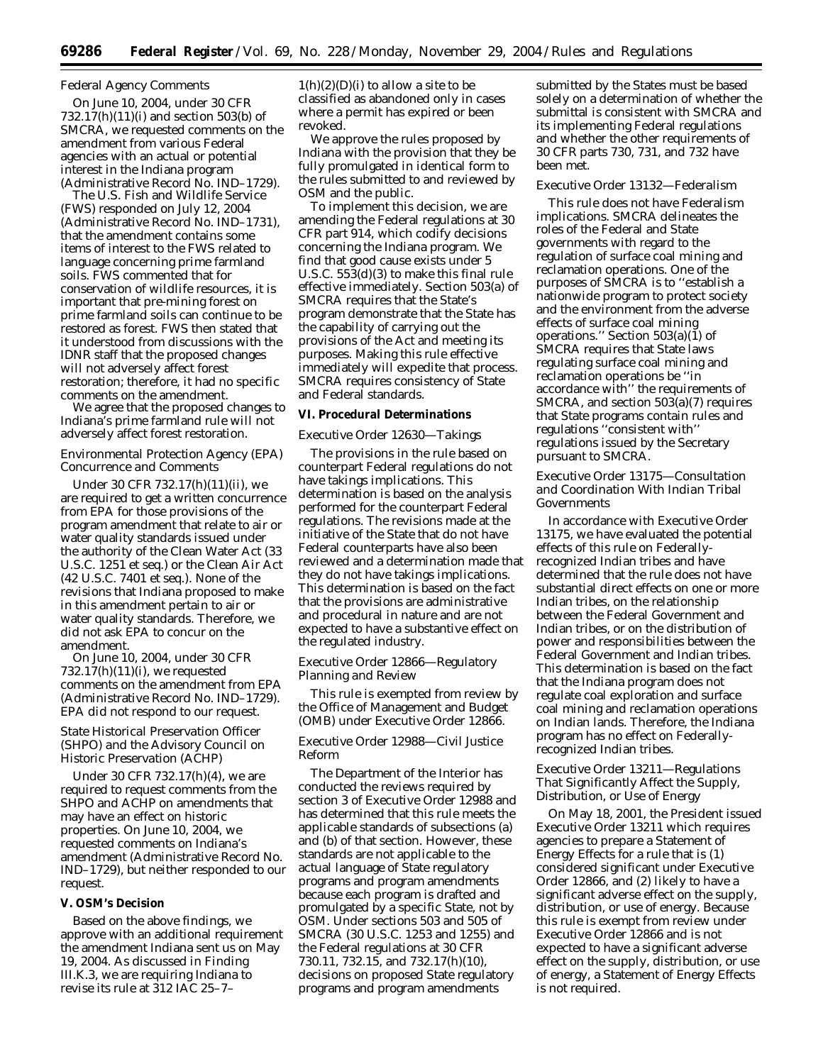# *Federal Agency Comments*

On June 10, 2004, under 30 CFR 732.17(h)(11)(i) and section 503(b) of SMCRA, we requested comments on the amendment from various Federal agencies with an actual or potential interest in the Indiana program (Administrative Record No. IND–1729).

The U.S. Fish and Wildlife Service (FWS) responded on July 12, 2004 (Administrative Record No. IND–1731), that the amendment contains some items of interest to the FWS related to language concerning prime farmland soils. FWS commented that for conservation of wildlife resources, it is important that pre-mining forest on prime farmland soils can continue to be restored as forest. FWS then stated that it understood from discussions with the IDNR staff that the proposed changes will not adversely affect forest restoration; therefore, it had no specific comments on the amendment.

We agree that the proposed changes to Indiana's prime farmland rule will not adversely affect forest restoration.

### *Environmental Protection Agency (EPA) Concurrence and Comments*

Under 30 CFR 732.17(h)(11)(ii), we are required to get a written concurrence from EPA for those provisions of the program amendment that relate to air or water quality standards issued under the authority of the Clean Water Act (33 U.S.C. 1251 *et seq.*) or the Clean Air Act (42 U.S.C. 7401 *et seq.*). None of the revisions that Indiana proposed to make in this amendment pertain to air or water quality standards. Therefore, we did not ask EPA to concur on the amendment.

On June 10, 2004, under 30 CFR  $732.17(h)(11)(i)$ , we requested comments on the amendment from EPA (Administrative Record No. IND–1729). EPA did not respond to our request.

# *State Historical Preservation Officer (SHPO) and the Advisory Council on Historic Preservation (ACHP)*

Under 30 CFR 732.17(h)(4), we are required to request comments from the SHPO and ACHP on amendments that may have an effect on historic properties. On June 10, 2004, we requested comments on Indiana's amendment (Administrative Record No. IND–1729), but neither responded to our request.

# **V. OSM's Decision**

Based on the above findings, we approve with an additional requirement the amendment Indiana sent us on May 19, 2004. As discussed in Finding III.K.3, we are requiring Indiana to revise its rule at 312 IAC 25–7–

 $1(h)(2)(D)(i)$  to allow a site to be classified as abandoned only in cases where a permit has expired or been revoked.

We approve the rules proposed by Indiana with the provision that they be fully promulgated in identical form to the rules submitted to and reviewed by OSM and the public.

To implement this decision, we are amending the Federal regulations at 30 CFR part 914, which codify decisions concerning the Indiana program. We find that good cause exists under 5 U.S.C. 553(d)(3) to make this final rule effective immediately. Section 503(a) of SMCRA requires that the State's program demonstrate that the State has the capability of carrying out the provisions of the Act and meeting its purposes. Making this rule effective immediately will expedite that process. SMCRA requires consistency of State and Federal standards.

### **VI. Procedural Determinations**

#### *Executive Order 12630—Takings*

The provisions in the rule based on counterpart Federal regulations do not have takings implications. This determination is based on the analysis performed for the counterpart Federal regulations. The revisions made at the initiative of the State that do not have Federal counterparts have also been reviewed and a determination made that they do not have takings implications. This determination is based on the fact that the provisions are administrative and procedural in nature and are not expected to have a substantive effect on the regulated industry.

# *Executive Order 12866—Regulatory Planning and Review*

This rule is exempted from review by the Office of Management and Budget (OMB) under Executive Order 12866.

# *Executive Order 12988—Civil Justice Reform*

The Department of the Interior has conducted the reviews required by section 3 of Executive Order 12988 and has determined that this rule meets the applicable standards of subsections (a) and (b) of that section. However, these standards are not applicable to the actual language of State regulatory programs and program amendments because each program is drafted and promulgated by a specific State, not by OSM. Under sections 503 and 505 of SMCRA (30 U.S.C. 1253 and 1255) and the Federal regulations at 30 CFR 730.11, 732.15, and 732.17(h)(10), decisions on proposed State regulatory programs and program amendments

submitted by the States must be based solely on a determination of whether the submittal is consistent with SMCRA and its implementing Federal regulations and whether the other requirements of 30 CFR parts 730, 731, and 732 have been met.

# *Executive Order 13132—Federalism*

This rule does not have Federalism implications. SMCRA delineates the roles of the Federal and State governments with regard to the regulation of surface coal mining and reclamation operations. One of the purposes of SMCRA is to ''establish a nationwide program to protect society and the environment from the adverse effects of surface coal mining operations.'' Section 503(a)(1) of SMCRA requires that State laws regulating surface coal mining and reclamation operations be ''in accordance with'' the requirements of SMCRA, and section 503(a)(7) requires that State programs contain rules and regulations ''consistent with'' regulations issued by the Secretary pursuant to SMCRA.

# *Executive Order 13175—Consultation and Coordination With Indian Tribal Governments*

In accordance with Executive Order 13175, we have evaluated the potential effects of this rule on Federallyrecognized Indian tribes and have determined that the rule does not have substantial direct effects on one or more Indian tribes, on the relationship between the Federal Government and Indian tribes, or on the distribution of power and responsibilities between the Federal Government and Indian tribes. This determination is based on the fact that the Indiana program does not regulate coal exploration and surface coal mining and reclamation operations on Indian lands. Therefore, the Indiana program has no effect on Federallyrecognized Indian tribes.

# *Executive Order 13211—Regulations That Significantly Affect the Supply, Distribution, or Use of Energy*

On May 18, 2001, the President issued Executive Order 13211 which requires agencies to prepare a Statement of Energy Effects for a rule that is (1) considered significant under Executive Order 12866, and (2) likely to have a significant adverse effect on the supply, distribution, or use of energy. Because this rule is exempt from review under Executive Order 12866 and is not expected to have a significant adverse effect on the supply, distribution, or use of energy, a Statement of Energy Effects is not required.